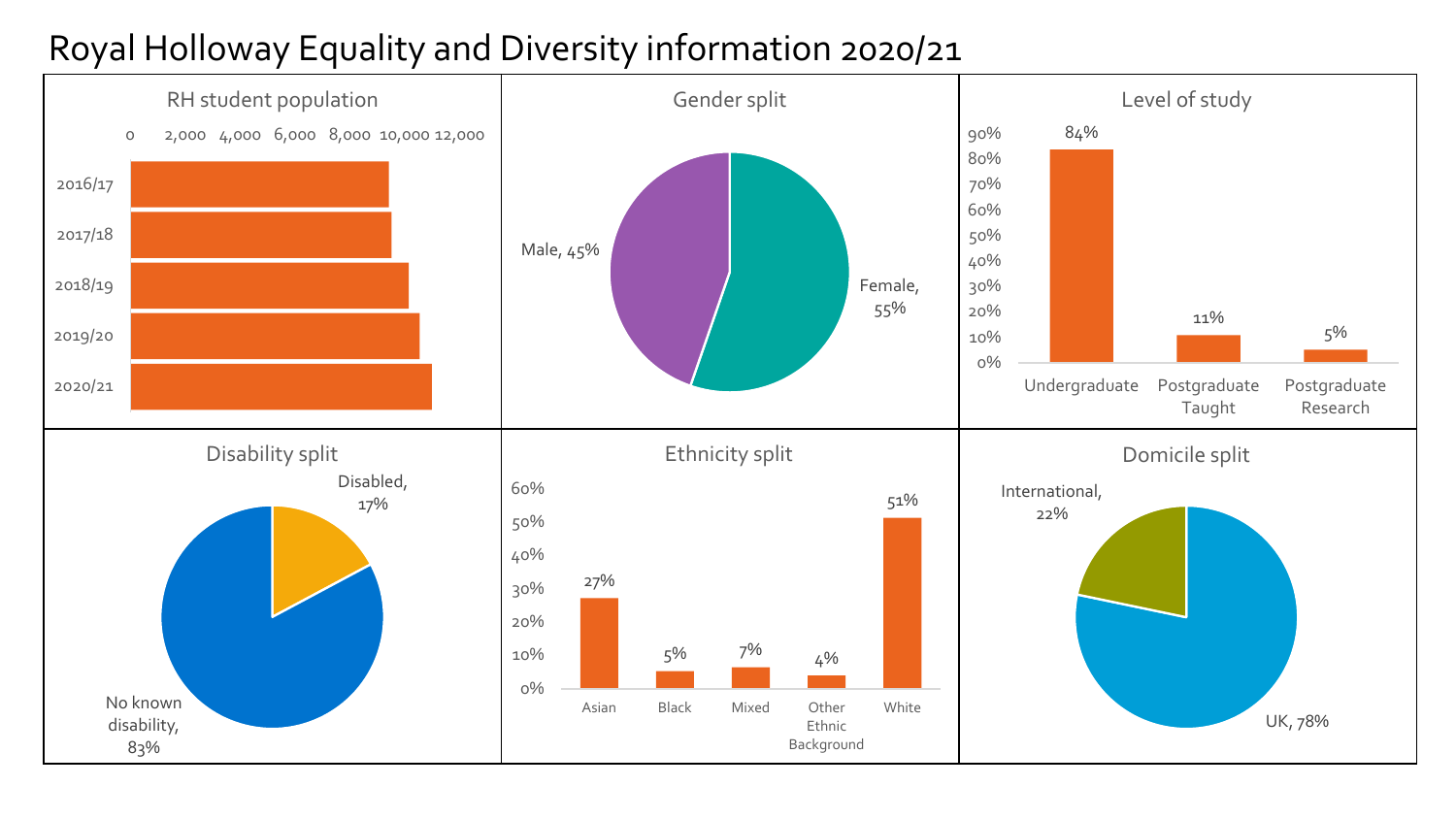## Royal Holloway Equality and Diversity information 2020/21

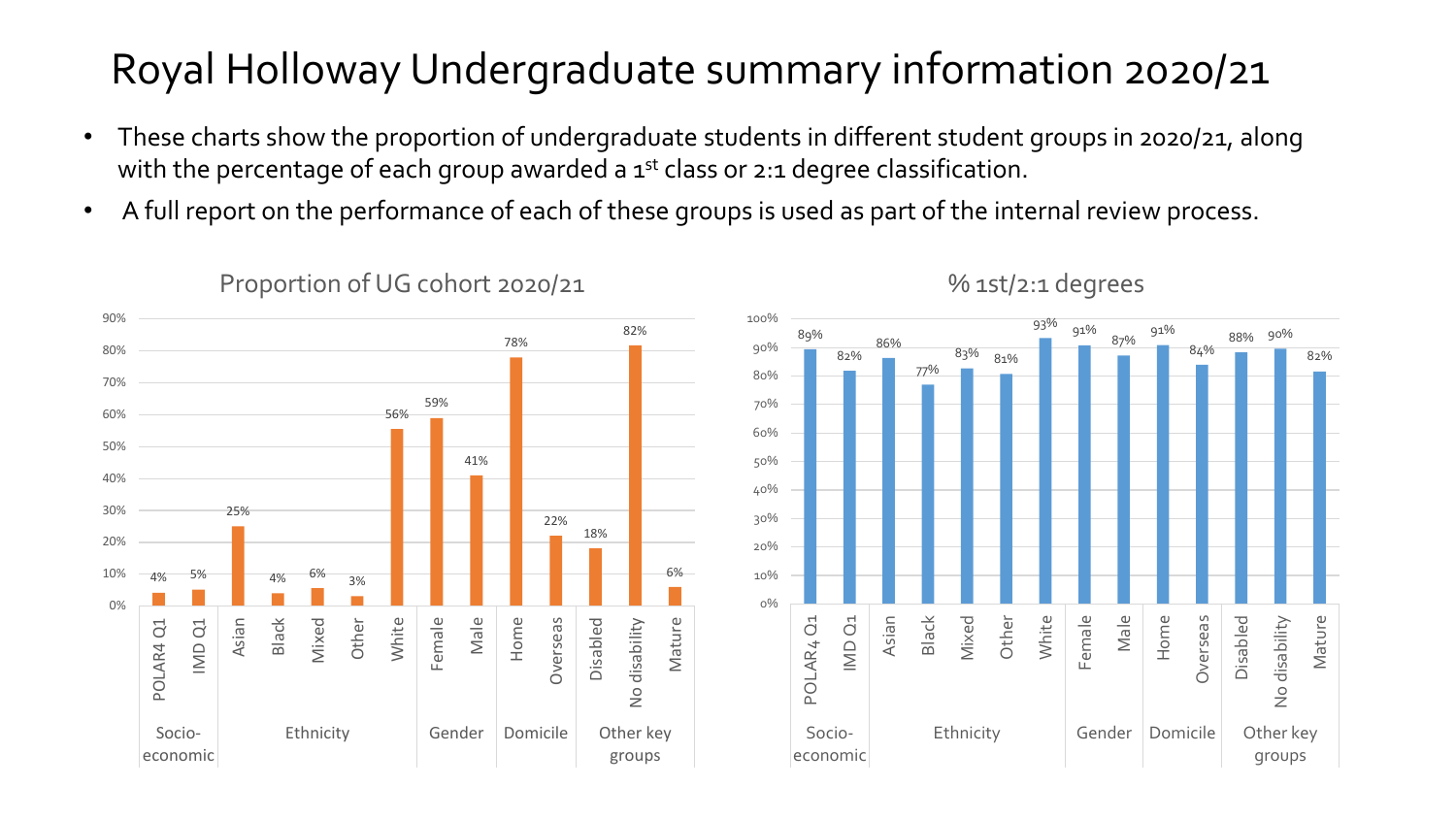## Royal Holloway Undergraduate summary information 2020/21

- These charts show the proportion of undergraduate students in different student groups in 2020/21, along with the percentage of each group awarded a  $1<sup>st</sup>$  class or 2:1 degree classification.
- A full report on the performance of each of these groups is used as part of the internal review process.